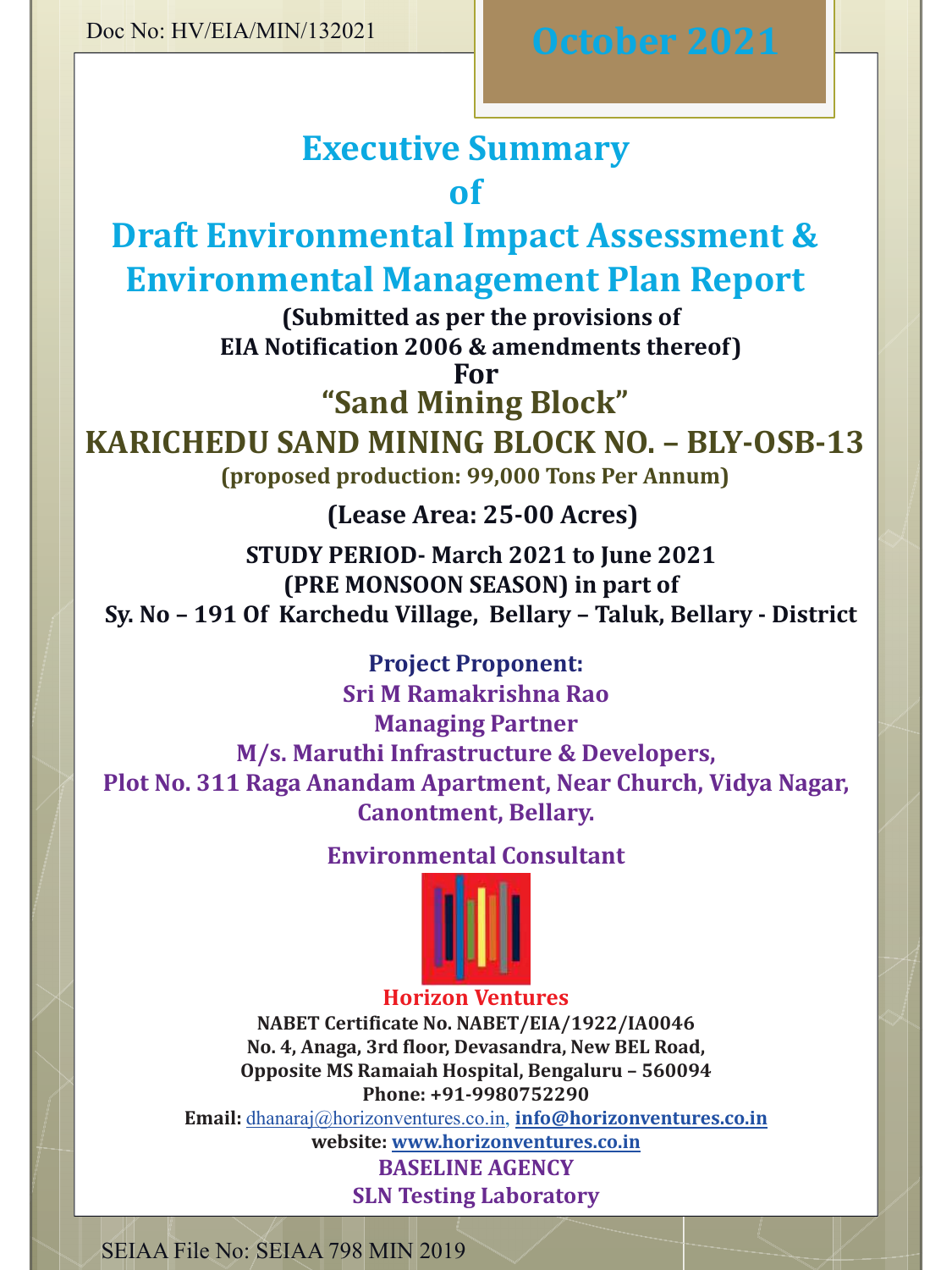# **Executive Summary of**

**Draft Environmental Impact Assessment & Environmental Management Plan Report**

> **(Submitted as per the provisions of EIA Notification 2006 & amendments thereof)For**

**"Sand Mining Block"**

 **KARICHEDU SAND MINING BLOCK NO. – BLY-OSB-13 (proposed production: 99,000 Tons Per Annum)**

## **(Lease Area: 25-00 Acres)**

**STUDY PERIOD- March 2021 to June 2021 (PRE MONSOON SEASON) in part ofSy. No – 191 Of Karchedu Village, Bellary – Taluk, Bellary - District**

## **Project Proponent:**

 **Sri M Ramakrishna RaoManaging Partner M/s. Maruthi Infrastructure & Developers, Plot No. 311 Raga Anandam Apartment, Near Church, Vidya Nagar, Canontment, Bellary.** 

## **Environmental Consultant**



#### **Horizon Ventures NABET Certificate No. NABET/EIA/1922/IA0046 No. 4, Anaga, 3rd floor, Devasandra, New BEL Road, Opposite MS Ramaiah Hospital, Bengaluru – <sup>560094</sup>**

**Phone: +91-9980752290**

**Email:** dhanaraj@horizonventures.co.in, **info@horizonventures.co.in**

**website: www.horizonventures.co.inBASELINE AGENCY**

**SLN Testing Laboratory**

SEIAA File No: SEIAA 798 MIN 2019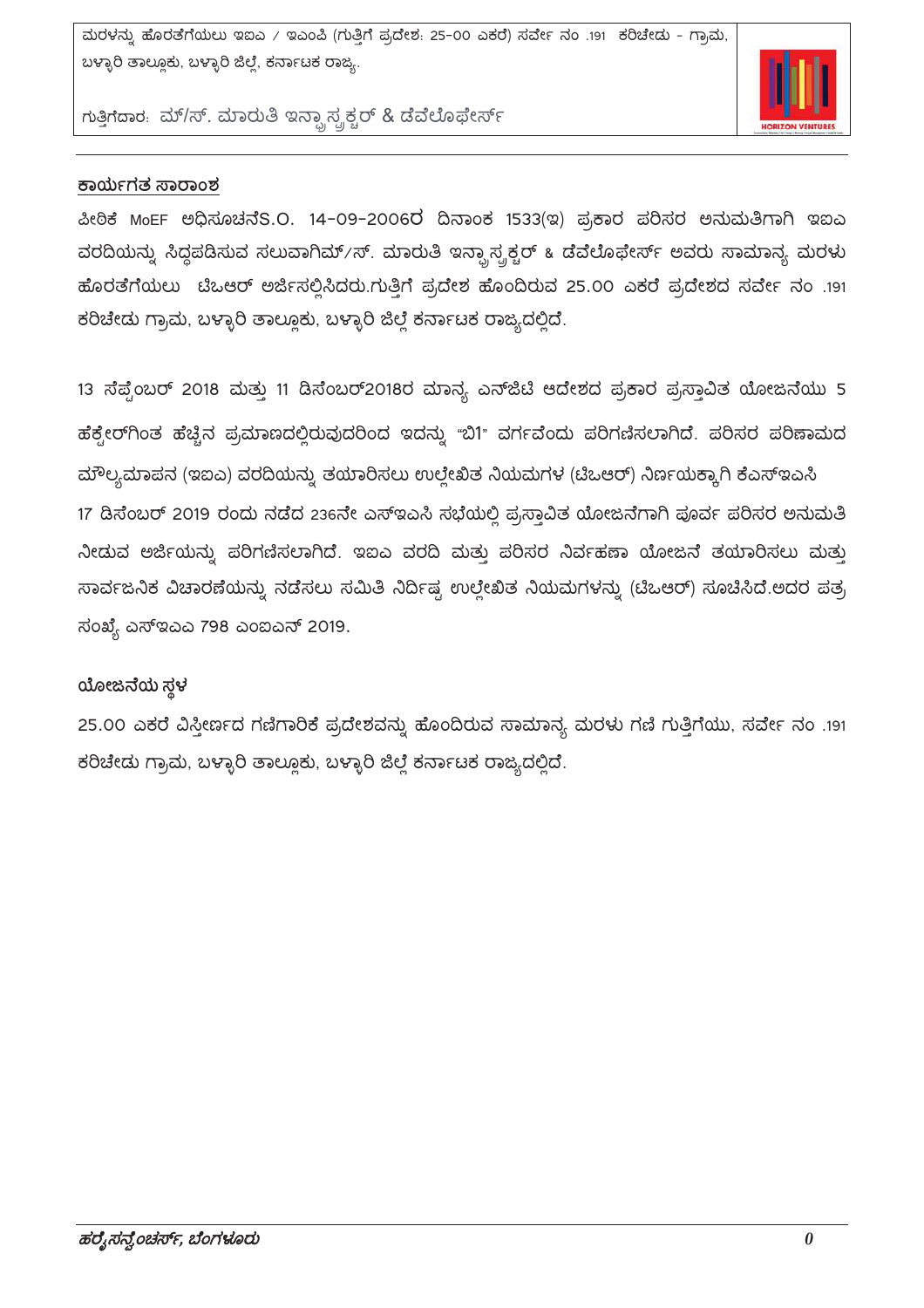

ಗುತ್ತಿಗೆದಾರ. ಮ್/ಸ್. ಮಾರುತಿ ಇನ್ಸ್ಟಾಸ್ಟ್ರಕ್ಚರ್ & ಡೆವೆಲೊಫೇರ್ಸ್

#### ಕಾರ್ಯಗತ ಸಾರಾಂಶ

ಪೀಠಿಕೆ MoEF ಅಧಿಸೂಚನೆS.O. 14-09-2006ರ ದಿನಾಂಕ 1533(ಇ) ಪ್ರಕಾರ ಪರಿಸರ ಅನುಮತಿಗಾಗಿ ಇಐಎ ವರದಿಯನ್ನು ಸಿದ್ಧಪಡಿಸುವ ಸಲುವಾಗಿಮ್/ಸ್. ಮಾರುತಿ ಇನ್ಫ್ರಾಸ್ಟ್ರಕ್ಚರ್ ೩ ಡೆವೆಲೊಫೇರ್ಸ್ ಅವರು ಸಾಮಾನ್ಯ ಮರಳು ಹೊರತೆಗೆಯಲು ಟಿಒಆರ್ ಅರ್ಜಿಸಲ್ಲಿಸಿದರು.ಗುತ್ತಿಗೆ ಪ್ರದೇಶ ಹೊಂದಿರುವ 25.00 ಎಕರೆ ಪ್ರದೇಶದ ಸರ್ವೇ ನಂ .191 ಕರಿಚೇದು ಗ್ರಾಮ, ಬಳ್ಳಾರಿ ತಾಲ್ಲೂಕು, ಬಳ್ಳಾರಿ ಜಿಲ್ಲೆ ಕರ್ನಾಟಕ ರಾಜ್ಯದಲ್ಲಿದೆ.

13 ಸೆಪ್ಟೆಂಬರ್ 2018 ಮತ್ತು 11 ಡಿಸೆಂಬರ್2018ರ ಮಾನ್ಯ ಎನ್ಜ್ರೆಟಿ ಆದೇಶದ ಪ್ರಕಾರ ಪ್ರಸ್ತಾವಿತ ಯೋಜನೆಯು 5 ಹೆಕ್ಸೇರ್ಗಿಂತ ಹೆಚ್ಚಿನ ಪ್ರಮಾಣದಲ್ಲಿರುವುದರಿಂದ ಇದನ್ನು "ಬಿ1" ವರ್ಗವೆಂದು ಪರಿಗಣಿಸಲಾಗಿದೆ. ಪರಿಸರ ಪರಿಣಾಮದ ಮೌಲ್ಯಮಾಪನ (ಇಐಎ) ವರದಿಯನ್ನು ತಯಾರಿಸಲು ಉಲ್ಲೇಖಿತ ನಿಯಮಗಳ (ಟಿಒಆರ್) ನಿರ್ಣಯಕ್ಕಾಗಿ ಕೆಎಸ್ಇಎಸಿ 17 ಡಿಸೆಂಬರ್ 2019 ರಂದು ನಡೆದ 236ನೇ ಎಸ್ಇಎಸಿ ಸಭೆಯಲ್ಲಿ ಪ್ರಸ್ತಾವಿತ ಯೋಜನೆಗಾಗಿ ಪೂರ್ವ ಪರಿಸರ ಅನುಮತಿ ನೀಡುವ ಅರ್ಜಿಯನ್ನು ಪರಿಗಣಿಸಲಾಗಿದೆ. ಇಐಎ ವರದಿ ಮತ್ತು ಪರಿಸರ ನಿರ್ವಹಣಾ ಯೋಜನೆ ತಯಾರಿಸಲು ಮತ್ತು

ಸಾರ್ವಜನಿಕ ವಿಚಾರಣೆಯನ್ನು ನಡೆಸಲು ಸಮಿತಿ ನಿರ್ದಿಷ್ಟ ಉಲ್ಲೇಖಿತ ನಿಯಮಗಳನ್ನು (ಟಿಒಆರ್) ಸೂಚಿಸಿದೆ.ಅದರ ಪತ್ರ

ಸಂಖ್ಯೆ ಎಸ್ಇಎಎ 798 ಎಂಐಎನ್ 2019.

#### ಯೋಜನೆಯ ಸ್ಥಳ

25.00 ಎಕರೆ ವಿಸ್ತೀರ್ಣದ ಗಣಿಗಾರಿಕೆ ಪ್ರದೇಶವನ್ನು ಹೊಂದಿರುವ ಸಾಮಾನ್ಯ ಮರಳು ಗಣಿ ಗುತ್ತಿಗೆಯು, ಸರ್ವೇ ನಂ .191 ಕರಿಚೇದು ಗ್ರಾಮ, ಬಳ್ಳಾರಿ ತಾಲ್ಲೂಕು, ಬಳ್ಳಾರಿ ಜಿಲ್ಲೆ ಕರ್ನಾಟಕ ರಾಜ್ಯದಲ್ಲಿದೆ.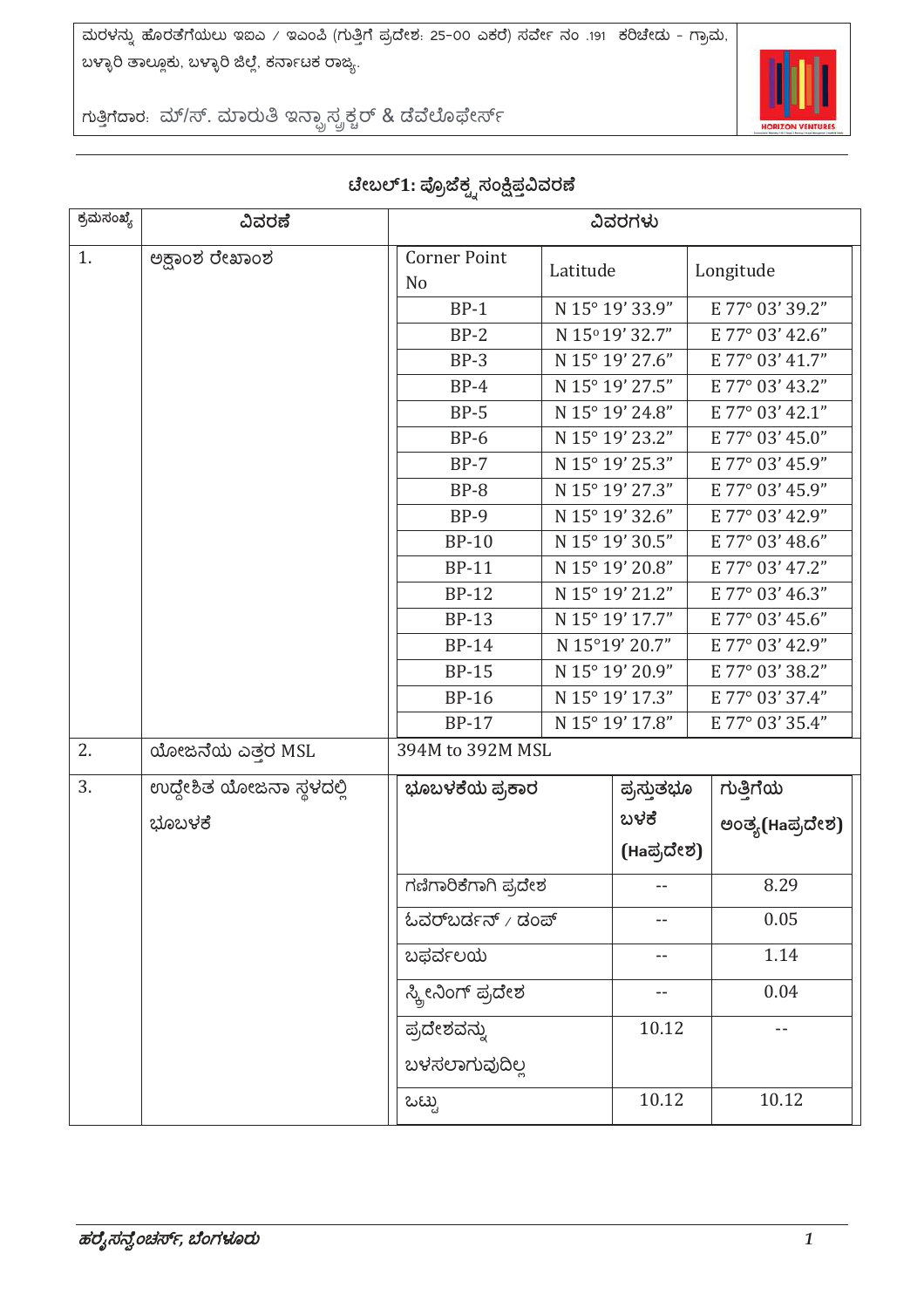

ಗುತ್ತಿಗೆದಾರ. ಮ್/ಸ್. ಮಾರುತಿ ಇನ್ಫ್ರಾಸ್ಟ್ರಕ್ಚರ್ & ಡೆವೆಲೊಫೇರ್ಸ್

| ಕ್ರಮಸಂಖ್ಯೆ | ವಿವರಣೆ                   | ವಿವರಗಳು                                                                                     |                 |                 |                 |
|------------|--------------------------|---------------------------------------------------------------------------------------------|-----------------|-----------------|-----------------|
| 1.         | ಅಕ್ಷಾಂಶ ರೇಖಾಂಶ           | <b>Corner Point</b><br>N <sub>o</sub>                                                       | Latitude        |                 | Longitude       |
|            |                          | $BP-1$                                                                                      | N 15° 19' 33.9" |                 | E 77° 03' 39.2" |
|            |                          | $BP-2$                                                                                      |                 | N 15°19' 32.7"  | E 77° 03' 42.6" |
|            |                          | $BP-3$                                                                                      |                 | N 15° 19' 27.6" | E 77° 03' 41.7" |
|            |                          | $BP-4$                                                                                      |                 | N 15° 19' 27.5" | E 77° 03' 43.2" |
|            |                          | $BP-5$                                                                                      |                 | N 15° 19' 24.8" | E 77° 03' 42.1" |
|            |                          | $BP-6$                                                                                      |                 | N 15° 19' 23.2" | E 77° 03' 45.0" |
|            |                          | $BP-7$                                                                                      |                 | N 15° 19' 25.3" | E 77° 03' 45.9" |
|            |                          | $BP-8$                                                                                      |                 | N 15° 19' 27.3" | E 77° 03' 45.9" |
|            |                          | $BP-9$                                                                                      |                 | N 15° 19' 32.6" | E 77° 03' 42.9" |
|            |                          | <b>BP-10</b>                                                                                |                 | N 15° 19' 30.5" | E 77° 03' 48.6" |
|            |                          | <b>BP-11</b>                                                                                |                 | N 15° 19' 20.8" | E 77° 03' 47.2" |
|            |                          | <b>BP-12</b>                                                                                |                 | N 15° 19' 21.2" | E 77° 03' 46.3" |
|            |                          | <b>BP-13</b>                                                                                |                 | N 15° 19' 17.7" | E 77° 03' 45.6" |
|            |                          | <b>BP-14</b>                                                                                |                 | N 15°19' 20.7"  | E 77° 03' 42.9" |
|            |                          | <b>BP-15</b>                                                                                |                 | N 15° 19' 20.9" | E 77° 03' 38.2" |
|            |                          | <b>BP-16</b>                                                                                |                 | N 15° 19' 17.3" | E 77° 03' 37.4" |
|            |                          | <b>BP-17</b>                                                                                |                 | N 15° 19' 17.8" | E 77° 03' 35.4" |
| 2.         | ಯೋಜನೆಯ ಎತ್ತರ MSL         | 394M to 392M MSL                                                                            |                 |                 |                 |
| 3.         | ಉದ್ದೇಶಿತ ಯೋಜನಾ ಸ್ಥಳದಲ್ಲಿ | ಭೂಬಳಕೆಯ ಪ್ರಕಾರ                                                                              |                 | ಪ್ರಸ್ತುತಭೂ      | ಗುತ್ತಿಗೆಯ       |
|            | ಭೂಬಳಕೆ                   |                                                                                             |                 | ಬಳಕೆ            | ಅಂತ್ಯ(Haಪ್ರದೇಶ) |
|            |                          | ಗಣಿಗಾರಿಕೆಗಾಗಿ ಪ್ರದೇಶ<br>$\omega$ ವರ್ $\omega$ ರ್ಡನ್ / ಡಂಪ್<br>ಬಫರ್ವಲಯ<br>ಸ್ಕ್ರೀನಿಂಗ್ ಪ್ರದೇಶ |                 | (Haಪ್ರದೇಶ)      |                 |
|            |                          |                                                                                             |                 |                 | 8.29            |
|            |                          |                                                                                             |                 |                 | 0.05            |
|            |                          |                                                                                             |                 | --              | 1.14            |
|            |                          |                                                                                             |                 |                 | 0.04            |
|            |                          | ಪ್ರದೇಶವನ್ನು<br>ಬಳಸಲಾಗುವುದಿಲ್ಲ                                                               |                 | 10.12           | --              |
|            |                          |                                                                                             |                 |                 |                 |
|            |                          | ಒಟ್ಟು                                                                                       |                 | 10.12           | 10.12           |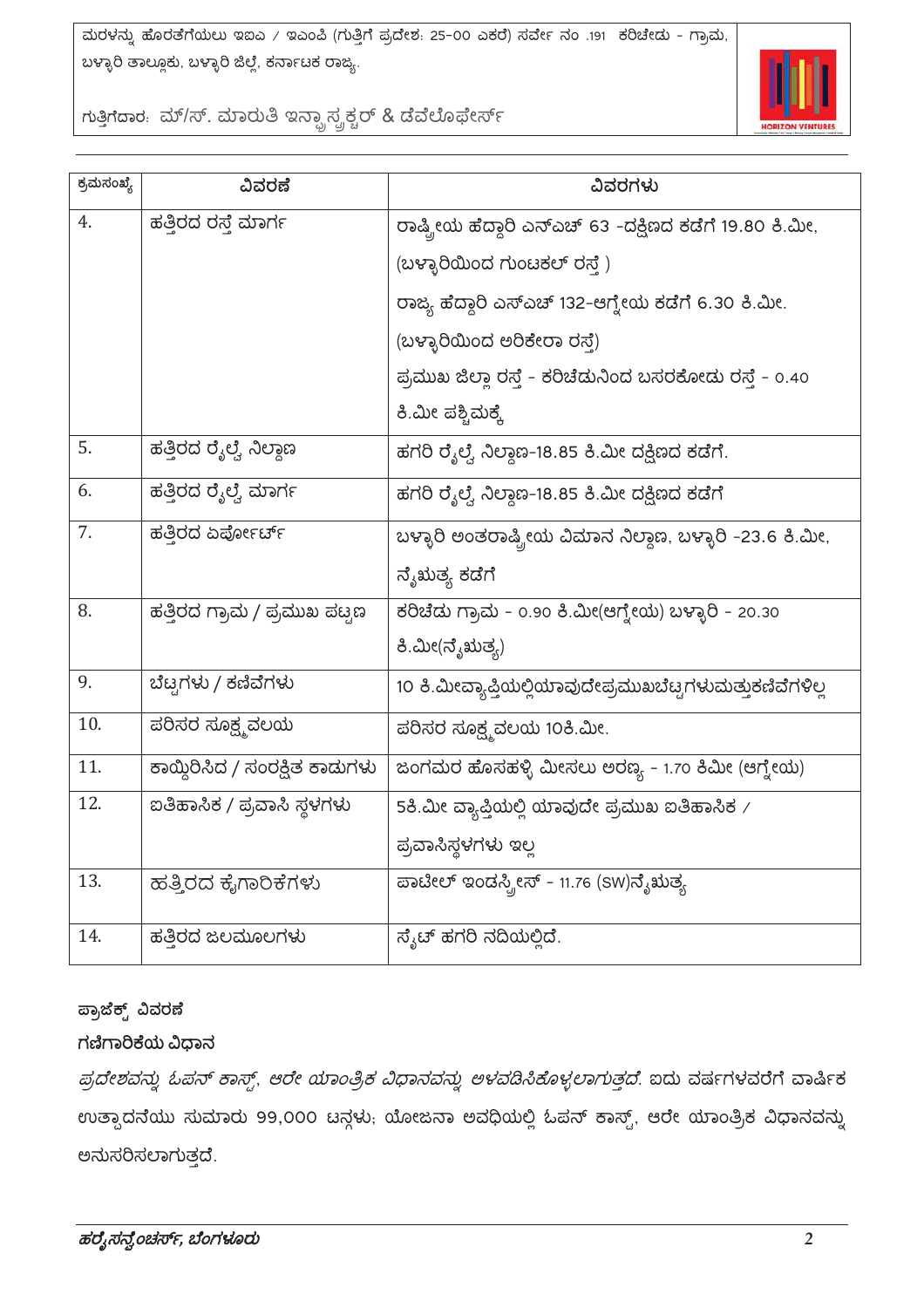

ಗುತ್ತಿಗೆದಾರ. ಮ್/ಸ್. ಮಾರುತಿ ಇನ್ಫ್ರಾಸ್ಟ್ರಕ್ಚರ್ & ಡೆವೆಲೊಫೇರ್ಸ್

| ಕ್ರಮಸಂಖ್ಯೆ | ವಿವರಣೆ                         | ವಿವರಗಳು                                                   |
|------------|--------------------------------|-----------------------------------------------------------|
| 4.         | ಹತ್ತಿರದ ರಸ್ತೆ ಮಾರ್ಗ            | ರಾಷ್ಟ್ರೀಯ ಹೆದ್ದಾರಿ ಎನ್ಎಚ್ 63 -ದಕ್ಷಿಣದ ಕಡೆಗೆ 19.80 ಕಿ.ಮೀ,  |
|            |                                | (ಬಳ್ಳಾರಿಯಿಂದ ಗುಂಟಕಲ್ ರಸ್ತೆ)                               |
|            |                                | ರಾಜ್ಯ ಹೆದ್ದಾರಿ ಎಸ್ಎಚ್ 132-ಆಗ್ನೇಯ ಕಡೆಗೆ 6.30 ಕಿ.ಮೀ.        |
|            |                                | (ಬಳ್ಳಾರಿಯಿಂದ ಅರಿಕೇರಾ ರಸ್ತೆ)                               |
|            |                                | ಪ್ರಮುಖ ಜಿಲ್ಲಾ ರಸ್ತೆ - ಕರಿಚೆಡುನಿಂದ ಬಸರಕೋಡು ರಸ್ತೆ - 0.40    |
|            |                                | ಕಿ.ಮೀ ಪಶ್ಚಿಮಕ್ಕೆ                                          |
| 5.         | ಹತ್ತಿರದ ರೈಲ್ವೆ ನಿಲ್ದಾಣ         | ಹಗರಿ ರೈಲ್ವೆ ನಿಲ್ದಾಣ-18.85 ಕಿ.ಮೀ ದಕ್ಷಿಣದ ಕಡೆಗೆ.            |
| 6.         | ಹತ್ತಿರದ ರೈಲ್ವೆ ಮಾರ್ಗ           | ಹಗರಿ ರೈಲ್ವೆ ನಿಲ್ದಾಣ-18.85 ಕಿ.ಮೀ ದಕ್ಷಿಣದ ಕಡೆಗೆ             |
| 7.         | ಹತ್ತಿರದ ಏರ್ಪೋರ್ಚ್              | ಬಳ್ಳಾರಿ ಅಂತರಾಷ್ಟ್ರೀಯ ವಿಮಾನ ನಿಲ್ದಾಣ, ಬಳ್ಳಾರಿ -23.6 ಕಿ.ಮೀ,  |
|            |                                | ನ್ಶೆಋತ್ಯ ಕಡೆಗೆ                                            |
| 8.         | ಹತ್ತಿರದ ಗ್ರಾಮ / ಪ್ರಮುಖ ಪಟ್ಟಣ   | ಕರಿಚೆಡು ಗ್ರಾಮ - 0.90 ಕಿ.ಮೀ(ಆಗ್ನೇಯ) ಬಳ್ಳಾರಿ - 20.30        |
|            |                                | ಕಿ.ಮೀ(ನೈಋತ್ಯ)                                             |
| 9.         | ಬೆಟ್ಟಗಳು / ಕಣಿವೆಗಳು            | 10 ಕಿ.ಮೀವ್ಯಾಪ್ತಿಯಲ್ಲಿಯಾವುದೇಪ್ರಮುಖಬೆಟ್ಟಗಳುಮತ್ತುಕಣಿವೆಗಳಿಲ್ಲ |
| 10.        | ಪರಿಸರ ಸೂಕ್ಷ್ಮವಲಯ               | ಪರಿಸರ ಸೂಕ್ಷ್ಮವಲಯ 10ಕಿ.ಮೀ.                                 |
| 11.        | ಕಾಯ್ದಿರಿಸಿದ / ಸಂರಕ್ಷಿತ ಕಾಡುಗಳು | ಜಂಗಮರ ಹೊಸಹಳ್ಳಿ ಮೀಸಲು ಅರಣ್ಯ - 1.70 ಕಿಮೀ (ಆಗ್ನೇಯ)           |
| 12.        | ಐತಿಹಾಸಿಕ / ಪ್ರವಾಸಿ ಸ್ಥಳಗಳು     | 5ಕಿ.ಮೀ ವ್ಯಾಪ್ತಿಯಲ್ಲಿ ಯಾವುದೇ ಪ್ರಮುಖ ಐತಿಹಾಸಿಕ $\times$      |
|            |                                | ಪ್ರವಾಸಿಸ್ಥಳಗಳು ಇಲ್ಲ                                       |
| 13.        | ಹತ್ತಿರದ ಕೈಗಾರಿಕೆಗಳು            | ಪಾಟೀಲ್ ಇಂಡಸ್ಟ್ರೀಸ್ - 11.76 (SW)ನೈಋತ್ಯ                     |
| 14.        | ಹತ್ತಿರದ ಜಲಮೂಲಗಳು               | ಸ್ಯೆಟ್ ಹಗರಿ ನದಿಯಲ್ಲಿದೆ.                                   |

#### ಪ್ರಾಜೆಕ್ಟ್ ವಿವರಣೆ

#### ಗಣಿಗಾರಿಕೆಯ ವಿಧಾನ

ಪ್ರದೇಶವನ್ನು ಓಪನ್ ಕಾಸ್ಟ್, ಆರೇ ಯಾಂತ್ರಿಕ ವಿಧಾನವನ್ನು ಅಳವಡಿಸಿಕೊಳ್ಳಲಾಗುತ್ತದೆ. ಐದು ವರ್ಷಗಳವರೆಗೆ ವಾರ್ಷಿಕ ಉತ್ಪಾದನೆಯು ಸುಮಾರು 99,000 ಟನ್ಗಳು; ಯೋಜನಾ ಅವಧಿಯಲ್ಲಿ ಓಪನ್ ಕಾಸ್ಟ್, ಆರೇ ಯಾಂತ್ರಿಕ ವಿಧಾನವನ್ನು ಅನುಸರಿಸಲಾಗುತ್ತದೆ.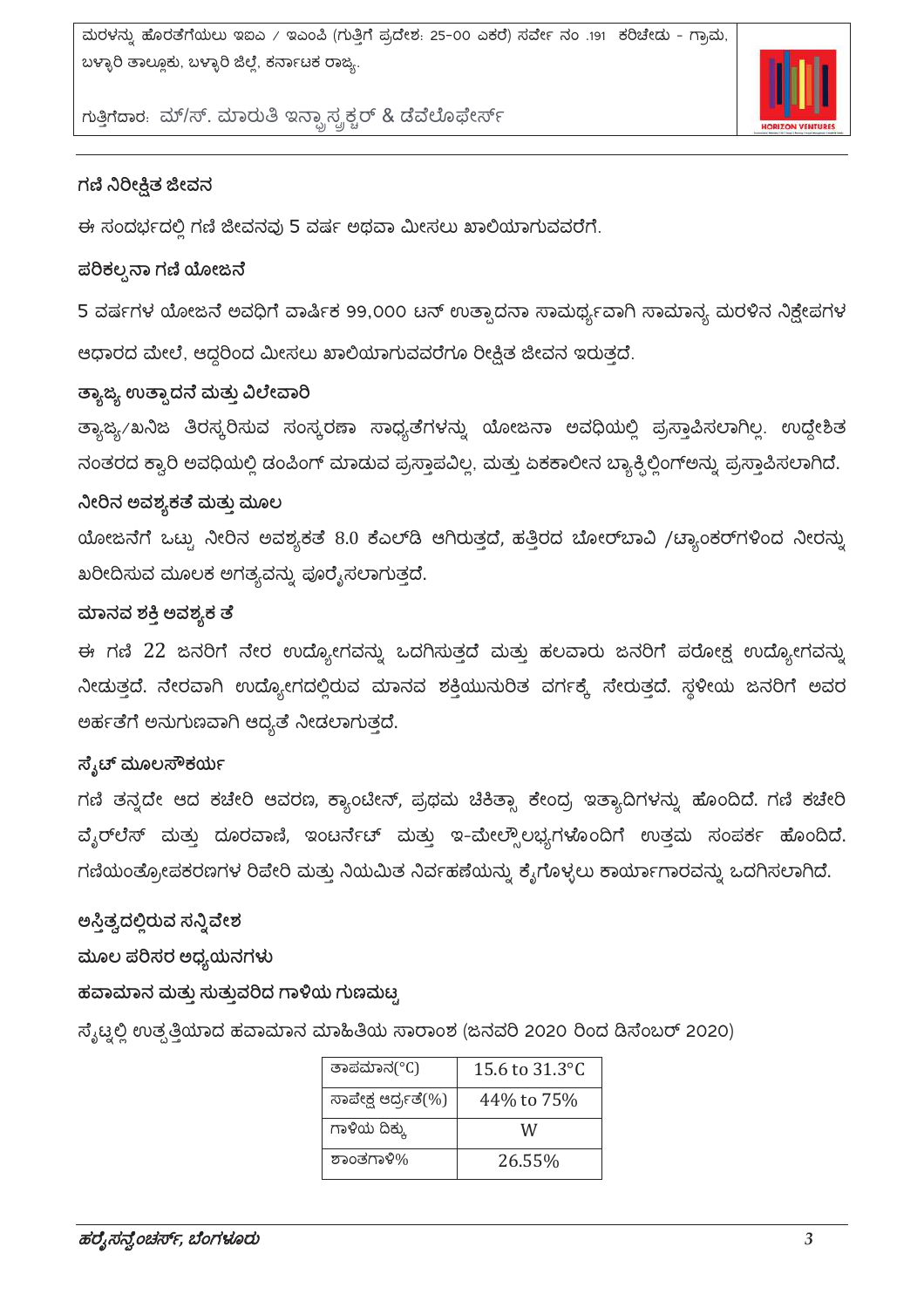

ಗುತ್ತಿಗೆದಾರ. ಮ್/ಸ್. ಮಾರುತಿ ಇನ್ಸ್ಟಾಸ್ಟ್ರಕ್ಚರ್ & ಡೆವೆಲೊಫೇರ್ಸ್

#### ಗಣಿ ನಿರೀಕ್ಷಿತ ಜೀವನ

ಈ ಸಂದರ್ಭದಲ್ಲಿ ಗಣಿ ಜೀವನವು 5 ವರ್ಷ ಅಥವಾ ಮೀಸಲು ಖಾಲಿಯಾಗುವವರೆಗೆ.

#### ಪರಿಕಲ್ಪನಾ ಗಣಿ ಯೋಜನೆ

5 ವರ್ಷಗಳ ಯೋಜನೆ ಅವಧಿಗೆ ವಾರ್ಷಿಕ 99,000 ಟನ್ ಉತ್ಪಾದನಾ ಸಾಮರ್ಥ್ಯವಾಗಿ ಸಾಮಾನ್ಯ ಮರಳಿನ ನಿಕ್ಷೇಪಗಳ ಆಧಾರದ ಮೇಲೆ, ಆದ್ದರಿಂದ ಮೀಸಲು ಖಾಲಿಯಾಗುವವರೆಗೂ ರೀಕ್ಷಿತ ಜೀವನ ಇರುತ್ತದೆ.

#### ತ್ಯಾಜ್ಯ ಉತ್ಪಾದನೆ ಮತ್ತು ವಿಲೇವಾರಿ

ತ್ಯಾಜ್ಯ/ಖನಿಜ ತಿರಸ್ಕರಿಸುವ ಸಂಸ್ಕರಣಾ ಸಾಧ್ಯತೆಗಳನ್ನು ಯೋಜನಾ ಅವಧಿಯಲ್ಲಿ ಪ್ರಸ್ತಾಪಿಸಲಾಗಿಲ್ಲ. ಉದ್ದೇಶಿತ ನಂತರದ ಕ್ವಾರಿ ಅವಧಿಯಲ್ಲಿ ಡಂಪಿಂಗ್ ಮಾಡುವ ಪ್ರಸ್ತಾಪವಿಲ್ಲ, ಮತ್ತು ಏಕಕಾಲೀನ ಬ್ಯಾಕ್ಸಿಲ್ಲಿಂಗ್ಅನ್ನು ಪ್ರಸ್ತಾಪಿಸಲಾಗಿದೆ.

#### ನೀರಿನ ಅವಶ್ಯಕತೆ ಮತ್ತು ಮೂಲ

ಯೋಜನೆಗೆ ಒಟ್ಟು ನೀರಿನ ಅವಶ್ಯಕತೆ 8.0 ಕೆಎಲ್ಡ ಆಗಿರುತ್ತದೆ, ಹತ್ತಿರದ ಬೋರ್ಬಾವಿ /ಟ್ಯಾಂಕರ್ಗಳಿಂದ ನೀರನ್ನು ಖರೀದಿಸುವ ಮೂಲಕ ಅಗತ್ಯವನ್ನು ಪೂರೈಸಲಾಗುತ್ತದೆ.

#### ಮಾನವ ಶಕ್ತಿ ಅವಶ್ಯಕ ತ

ಈ ಗಣಿ 22 ಜನರಿಗೆ ನೇರ ಉದ್ಯೋಗವನ್ನು ಒದಗಿಸುತ್ತದೆ ಮತ್ತು ಹಲವಾರು ಜನರಿಗೆ ಪರೋಕ್ಷ ಉದ್ಯೋಗವನ್ನು ನೀಡುತ್ತದೆ. ನೇರವಾಗಿ ಉದ್ಯೋಗದಲ್ಲಿರುವ ಮಾನವ ಶಕ್ತಿಯುನುರಿತ ವರ್ಗಕ್ಕೆ ಸೇರುತ್ತದೆ. ಸ್ಥಳೀಯ ಜನರಿಗೆ ಅವರ ಅರ್ಹತೆಗೆ ಅನುಗುಣವಾಗಿ ಆದ್ಯತೆ ನೀಡಲಾಗುತ್ತದೆ.

#### ಸ್ಕೆಟ್ ಮೂಲಸೌಕರ್ಯ

ಗಣಿ ತನ್ನದೇ ಆದ ಕಚೇರಿ ಆವರಣ, ಕ್ಯಾಂಟೀನ್, ಪ್ರಥಮ ಚಿಕಿತ್ಸಾ ಕೇಂದ್ರ ಇತ್ಯಾದಿಗಳನ್ನು ಹೊಂದಿದೆ. ಗಣಿ ಕಚೇರಿ ವೈರ್ಲೆಸ್ ಮತ್ತು ದೂರವಾಣಿ, ಇಂಟರ್ನೆಟ್ ಮತ್ತು ಇ-ಮೇಲ್ಸೌಲಭ್ಯಗಳೊಂದಿಗೆ ಉತ್ತಮ ಸಂಪರ್ಕ ಹೊಂದಿದೆ. ಗಣಿಯಂತ್ರೋಪಕರಣಗಳ ರಿಪೇರಿ ಮತ್ತು ನಿಯಮಿತ ನಿರ್ವಹಣೆಯನ್ನು ಕೈಗೊಳ್ಳಲು ಕಾರ್ಯಾಗಾರವನ್ನು ಒದಗಿಸಲಾಗಿದೆ.

ಅಸ್ತಿತ್ವದಲ್ಲಿರುವ ಸನ್ನಿವೇಶ

ಮೂಲ ಪರಿಸರ ಅಧ್ಯಯನಗಳು

#### ಹವಾಮಾನ ಮತ್ತು ಸುತ್ತುವರಿದ ಗಾಳಿಯ ಗುಣಮಟ್ಟ

ಸ್ಯೆಟ್ನಲ್ಲಿ ಉತ್ಪತ್ತಿಯಾದ ಹವಾಮಾನ ಮಾಹಿತಿಯ ಸಾರಾಂಶ (ಜನವರಿ 2020 ರಿಂದ ಡಿಸೆಂಬರ್ 2020)

| ತಾಪಮಾನ(°C)          | 15.6 to $31.3^{\circ}$ C |
|---------------------|--------------------------|
| ಸಾಪೇಕ್ಷ ಆರ್ದ್ರತೆ(%) | 44% to 75%               |
| ಗಾಳಿಯ ದಿಕ್ಕು        | W                        |
| ಶಾಂತಗಾಳಿ%           | 26.55%                   |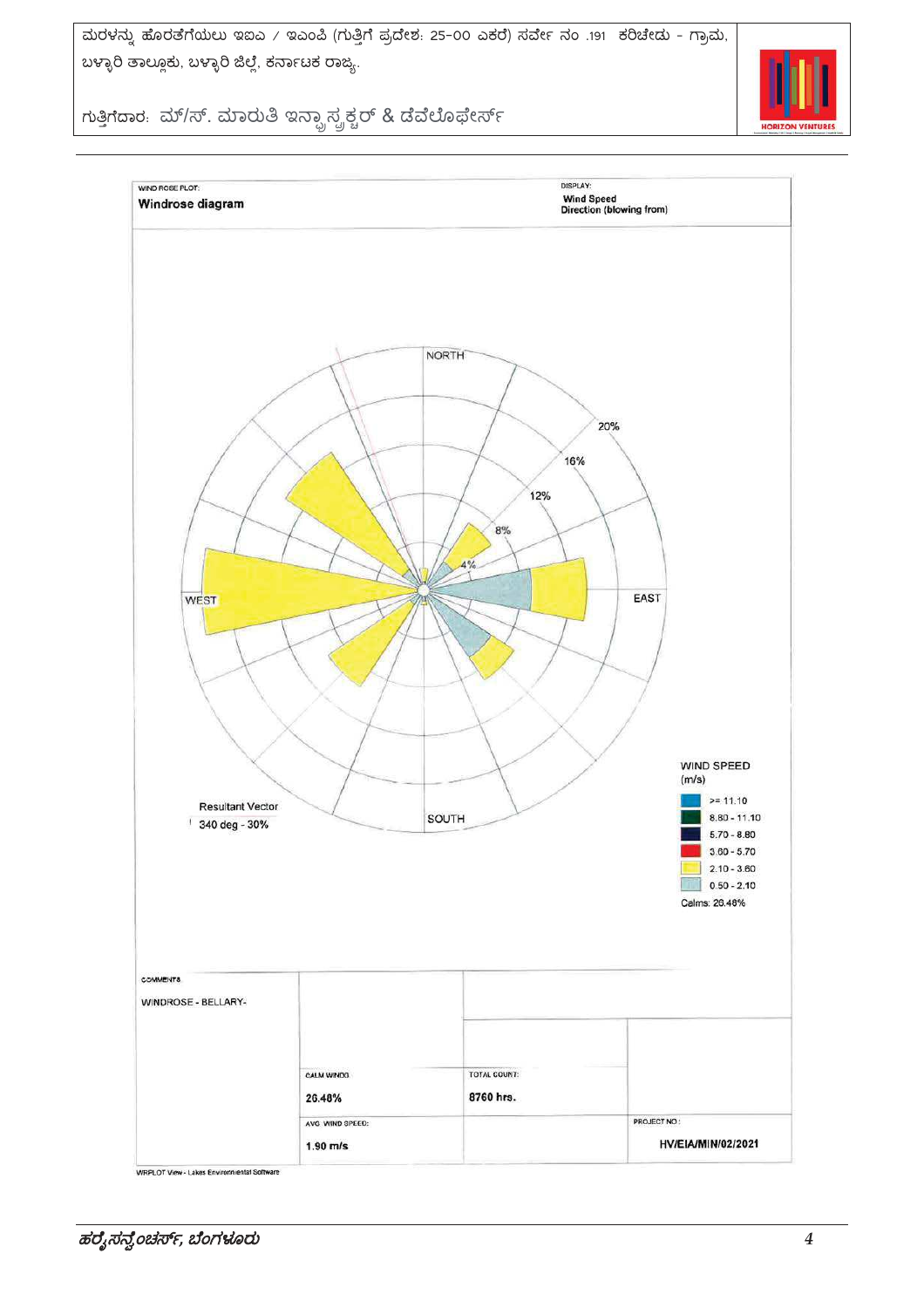

ಗುತ್ತಿಗೆದಾರ. ಮ್/ಸ್. ಮಾರುತಿ ಇನ್ಫ್ರಾಸ್ಟ್ರಕ್ಚರ್ & ಡೆವೆಲೊಫೇರ್ಸ್

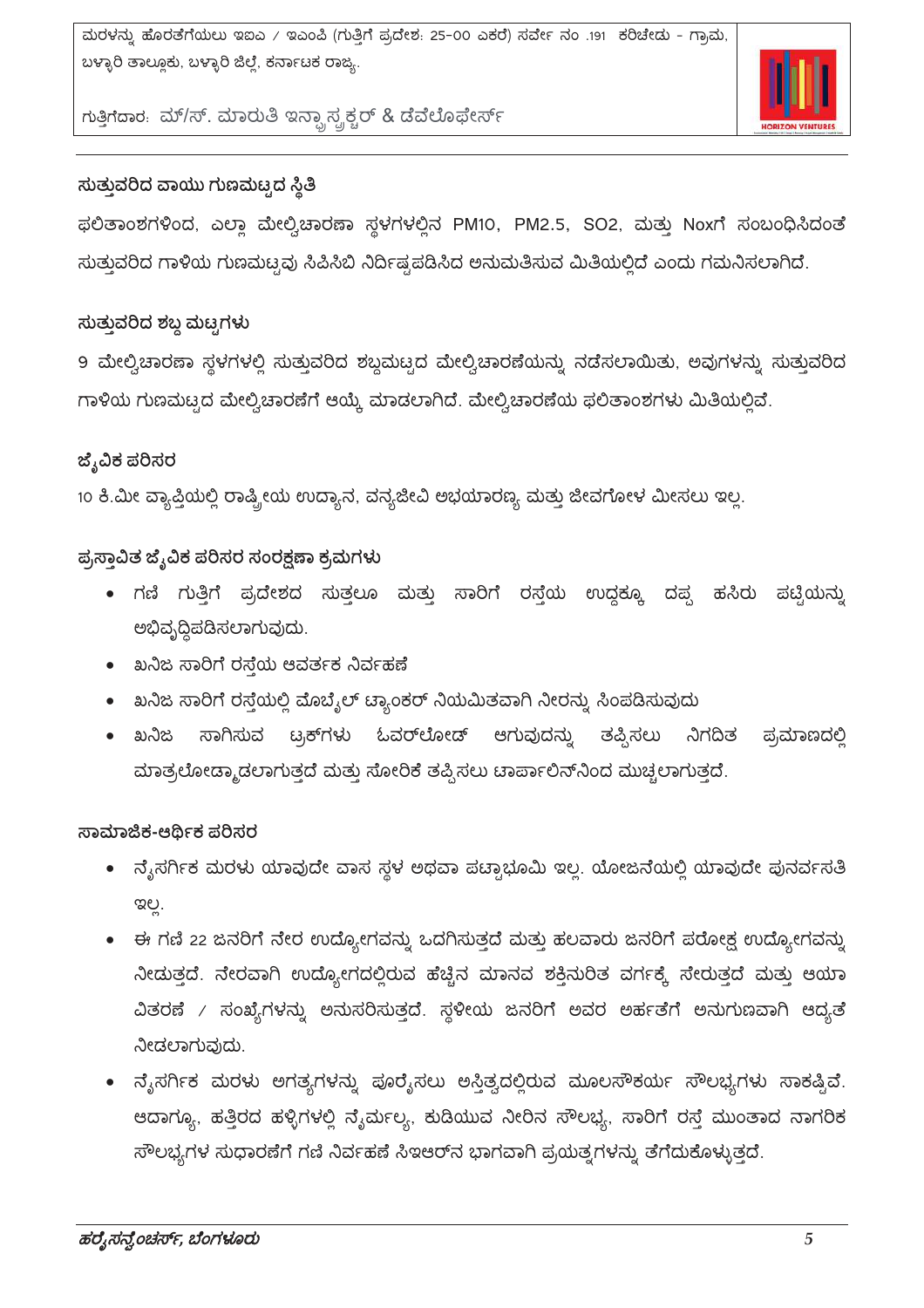

ಗುತ್ತಿಗೆದಾರ. ಮ್/ಸ್. ಮಾರುತಿ ಇನ್ಸ್ಟಾಸ್ಟ್ರಕ್ಚರ್ & ಡೆವೆಲೊಫೇರ್ಸ್

## ಸುತ್ತುವರಿದ ವಾಯು ಗುಣಮಟ್ಟದ ಸ್ಥಿತಿ

ಫಲಿತಾಂಶಗಳಿಂದ, ಎಲ್ಲಾ ಮೇಲ್ವಿಚಾರಣಾ ಸ್ಥಳಗಳಲ್ಲಿನ PM10, PM2.5, SO2, ಮತ್ತು Noxಗೆ ಸಂಬಂಧಿಸಿದಂತೆ ಸುತ್ತುವರಿದ ಗಾಳಿಯ ಗುಣಮಟ್ಟವು ಸಿಪಿಸಿಬಿ ನಿರ್ದಿಷ್ಟಪಡಿಸಿದ ಅನುಮತಿಸುವ ಮಿತಿಯಲ್ಲಿದೆ ಎಂದು ಗಮನಿಸಲಾಗಿದೆ.

### ಸುತ್ತುವರಿದ ಶಬ್ದ ಮಟ್ಟಗಳು

9 ಮೇಲ್ವಿಚಾರಣಾ ಸ್ಥಳಗಳಲ್ಲಿ ಸುತ್ತುವರಿದ ಶಬ್ದಮಟ್ಟದ ಮೇಲ್ವಿಚಾರಣೆಯನ್ನು ನಡೆಸಲಾಯಿತು, ಅವುಗಳನ್ನು ಸುತ್ತುವರಿದ ಗಾಳಿಯ ಗುಣಮಟ್ಟದ ಮೇಲ್ವಿಚಾರಣೆಗೆ ಆಯ್ಕೆ ಮಾಡಲಾಗಿದೆ. ಮೇಲ್ವಿಚಾರಣೆಯ ಫಲಿತಾಂಶಗಳು ಮಿತಿಯಲ್ಲಿವೆ.

#### ಜ್ಶೆವಿಕ ಪರಿಸರ

10 ಕಿ.ಮೀ ವ್ಯಾಪ್ತಿಯಲ್ಲಿ ರಾಷ್ಟ್ರೀಯ ಉದ್ಯಾನ, ವನ್ಯಜೀವಿ ಅಭಯಾರಣ್ಯ ಮತ್ತು ಜೀವಗೋಳ ಮೀಸಲು ಇಲ್ಲ.

### ಪ್ರಸ್ತಾವಿತ ಜೈವಿಕ ಪರಿಸರ ಸಂರಕ್ಷಣಾ ಕ್ರಮಗಳು

- ಗಣಿ ಗುತ್ತಿಗೆ ಪ್ರದೇಶದ ಸುತ್ತಲೂ ಮತ್ತು ಸಾರಿಗೆ ರಸ್ತೆಯ ಉದ್ದಕ್ಕೂ ದಪ್ಪ ಹಸಿರು ಪಟ್ಟಿಯನ್ನು ಅಭಿವೃದ್ಧಿಪಡಿಸಲಾಗುವುದು.
- ಖನಿಜ ಸಾರಿಗೆ ರಸ್ತೆಯ ಆವರ್ತಕ ನಿರ್ವಹಣೆ
- ಖನಿಜ ಸಾರಿಗೆ ರಸ್ತೆಯಲ್ಲಿ ಮೊಬ್ಶೆಲ್ ಟ್ಯಾಂಕರ್ ನಿಯಮಿತವಾಗಿ ನೀರನ್ನು ಸಿಂಪಡಿಸುವುದು
- ಸಾಗಿಸುವ ಖನಿಜ ಟ್ರಕ್**ಗಳು** ಓವರ್ಲೋಡ್ ಆಗುವುದನ್ನು ತಪ್ಪಿಸಲು ನಿಗದಿತ ಪ್ರಮಾಣದಲ್ಲಿ ಮಾತ್ರಲೋಡ್ಮಾಡಲಾಗುತ್ತದೆ ಮತ್ತು ಸೋರಿಕೆ ತಪ್ಪಿಸಲು ಟಾರ್ಪಾಲಿನ್ನಿಂದ ಮುಚ್ಚಲಾಗುತ್ತದೆ.

#### ಸಾಮಾಜಿಕ-ಆರ್ಥಿಕ ಪರಿಸರ

- ನ್ಯೆಸರ್ಗಿಕ ಮರಳು ಯಾವುದೇ ವಾಸ ಸ್ಥಳ ಅಥವಾ ಪಟ್ಪಾಭೂಮಿ ಇಲ್ಲ. ಯೋಜನೆಯಲ್ಲಿ ಯಾವುದೇ ಪುನರ್ವಸತಿ ಇಲ್ಲ.
- ಈ ಗಣಿ 22 ಜನರಿಗೆ ನೇರ ಉದ್ಯೋಗವನ್ನು ಒದಗಿಸುತ್ತದೆ ಮತ್ತು ಹಲವಾರು ಜನರಿಗೆ ಪರೋಕ್ಷ ಉದ್ಯೋಗವನ್ನು ನೀಡುತ್ತದೆ. ನೇರವಾಗಿ ಉದ್ಯೋಗದಲ್ಲಿರುವ ಹೆಚ್ಚಿನ ಮಾನವ ಶಕ್ತಿನುರಿತ ವರ್ಗಕ್ಕೆ ಸೇರುತ್ತದೆ ಮತ್ತು ಆಯಾ ವಿತರಣೆ / ಸಂಖ್ಯೆಗಳನ್ನು ಅನುಸರಿಸುತ್ತದೆ. ಸ್ಥಳೀಯ ಜನರಿಗೆ ಅವರ ಅರ್ಹತೆಗೆ ಅನುಗುಣವಾಗಿ ಆದ್ಯತೆ ನೀಡಲಾಗುವುದು.
- ನ್ಶೆಸರ್ಗಿಕ ಮರಳು ಅಗತ್ಯಗಳನ್ನು ಪೂರೈಸಲು ಅಸ್ತಿತ್ವದಲ್ಲಿರುವ ಮೂಲಸೌಕರ್ಯ ಸೌಲಭ್ಯಗಳು ಸಾಕಷ್ತಿವೆ. ಆದಾಗ್ಯೂ, ಹತ್ತಿರದ ಹಳ್ಳಿಗಳಲ್ಲಿ ನೈರ್ಮಲ್ಯ, ಕುಡಿಯುವ ನೀರಿನ ಸೌಲಭ್ಯ, ಸಾರಿಗೆ ರಸ್ತೆ ಮುಂತಾದ ನಾಗರಿಕ ಸೌಲಭ್ಯಗಳ ಸುಧಾರಣೆಗೆ ಗಣಿ ನಿರ್ವಹಣೆ ಸಿಇಆರ್ನ ಭಾಗವಾಗಿ ಪ್ರಯತ್ನಗಳನ್ನು ತೆಗೆದುಕೊಳ್ಳುತ್ತದೆ.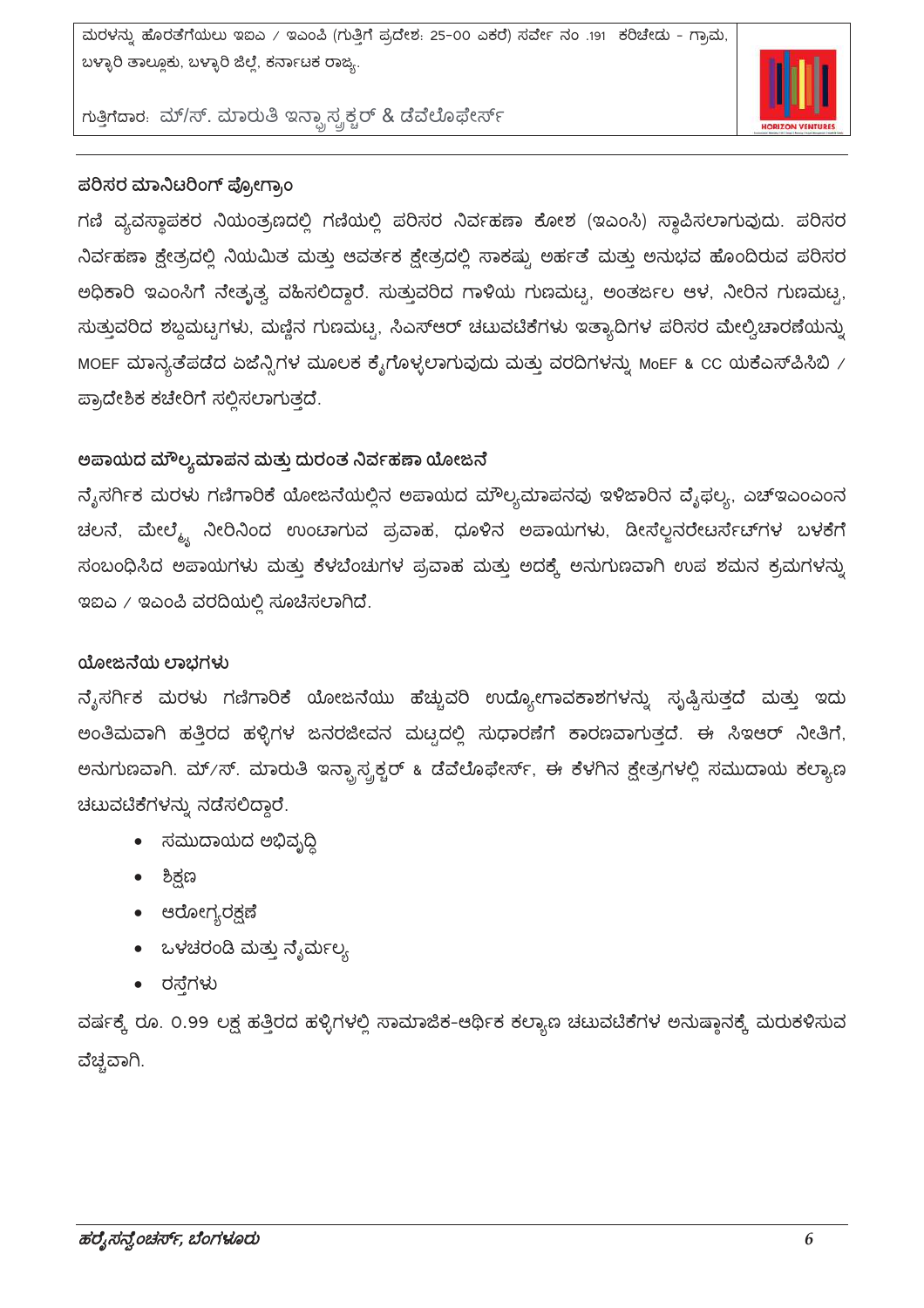

ಗುತ್ತಿಗೆದಾರ. ಮ್/ಸ್. ಮಾರುತಿ ಇನ್ಫ್ರಾಸ್ಟ್ರಕ್ಚರ್ & ಡೆವೆಲೊಫೇರ್ಸ್

#### ಪರಿಸರ ಮಾನಿಟರಿಂಗ್ ಪ್ರೋಗ್ರಾಂ

ಗಣಿ ವ್ಯವಸ್ಥಾಪಕರ ನಿಯಂತ್ರಣದಲ್ಲಿ ಗಣಿಯಲ್ಲಿ ಪರಿಸರ ನಿರ್ವಹಣಾ ಕೋಶ (ಇಎಂಸಿ) ಸ್ಥಾಪಿಸಲಾಗುವುದು. ಪರಿಸರ ನಿರ್ವಹಣಾ ಕ್ಷೇತ್ರದಲ್ಲಿ ನಿಯಮಿತ ಮತ್ತು ಆವರ್ತಕ ಕ್ಷೇತ್ರದಲ್ಲಿ ಸಾಕಷ್ಟು ಅರ್ಹತೆ ಮತ್ತು ಅನುಭವ ಹೊಂದಿರುವ ಪರಿಸರ ಅಧಿಕಾರಿ ಇಎಂಸಿಗೆ ನೇತೃತ್ವ ವಹಿಸಲಿದ್ದಾರೆ. ಸುತ್ತುವರಿದ ಗಾಳಿಯ ಗುಣಮಟ್ಟ, ಅಂತರ್ಜಲ ಆಳ, ನೀರಿನ ಗುಣಮಟ್ಟ, ಸುತ್ತುವರಿದ ಶಬ್ದಮಟ್ಟಗಳು, ಮಣ್ಣಿನ ಗುಣಮಟ್ಟ, ಸಿಎಸ್ಆರ್ ಚಟುವಟಿಕೆಗಳು ಇತ್ಯಾದಿಗಳ ಪರಿಸರ ಮೇಲ್ವಿಚಾರಣೆಯನ್ನು MOEF ಮಾನ್ಯತೆಪಡೆದ ಏಜೆನ್ಸಿಗಳ ಮೂಲಕ ಕೈಗೊಳ್ಳಲಾಗುವುದು ಮತ್ತು ವರದಿಗಳನ್ನು MoEF & CC ಯಕೆಎಸ್ಪಿಸಿಬಿ / ಪ್ರಾದೇಶಿಕ ಕಚೇರಿಗೆ ಸಲ್ಲಿಸಲಾಗುತ್ತದೆ.

#### ಅಪಾಯದ ಮೌಲ್ಯಮಾಪನ ಮತ್ತು ದುರಂತ ನಿರ್ವಹಣಾ ಯೋಜನೆ

ನೈಸರ್ಗಿಕ ಮರಳು ಗಣಿಗಾರಿಕೆ ಯೋಜನೆಯಲ್ಲಿನ ಅಪಾಯದ ಮೌಲ್ಯಮಾಪನವು ಇಳಿಜಾರಿನ ವೈಫಲ್ಯ, ಎಚ್ಇಎಂಎಂನ ಚಲನೆ, ಮೇಲ್ಮ್ಗೆ ನೀರಿನಿಂದ ಉಂಟಾಗುವ ಪ್ರವಾಹ, ಧೂಳಿನ ಅಪಾಯಗಳು, ಡೀಸೆಲ್ಲನರೇಟರ್ಸೆಟ್ಗಳ ಬಳಕೆಗೆ ಸಂಬಂಧಿಸಿದ ಅಪಾಯಗಳು ಮತ್ತು ಕೆಳಬೆಂಚುಗಳ ಪ್ರವಾಹ ಮತ್ತು ಅದಕ್ಕೆ ಅನುಗುಣವಾಗಿ ಉಪ ಶಮನ ಕ್ರಮಗಳನ್ನು  $\alpha$ ಐಎ / ಇಎಂಪಿ ವರದಿಯಲ್ಲಿ ಸೂಚೆಸಲಾಗಿದೆ.

#### ಯೋಜನೆಯ ಲಾಭಗಳು

ನ್ಶೆಸರ್ಗಿಕ ಮರಳು ಗಣಿಗಾರಿಕೆ ಯೋಜನೆಯು ಹೆಚ್ಚುವರಿ ಉದ್ಯೋಗಾವಕಾಶಗಳನ್ನು ಸೃಷ್ಟಿಸುತ್ತದೆ ಮತ್ತು ಇದು ಅಂತಿಮವಾಗಿ ಹತ್ತಿರದ ಹಳ್ಳಿಗಳ ಜನರಜೀವನ ಮಟ್ಟದಲ್ಲಿ ಸುಧಾರಣೆಗೆ ಕಾರಣವಾಗುತ್ತದೆ. ಈ ಸಿಇಆರ್ ನೀತಿಗೆ, ಅನುಗುಣವಾಗಿ. ಮ್⁄ಸ್. ಮಾರುತಿ ಇನ್ಫ್ರಾಸ್ಪ್ರಕ್ಚರ್ ೩ ಡೆವೆಲೊಫೇರ್ಸ್, ಈ ಕೆಳಗಿನ ಕ್ಷೇತ್ರಗಳಲ್ಲಿ ಸಮುದಾಯ ಕಲ್ಯಾಣ ಚಟುವಟಿಕೆಗಳನ್ನು ನಡೆಸಲಿದ್ದಾರೆ.

- ಸಮುದಾಯದ ಅಭಿವ್ರದಿ
- ಶಿಕ್ಷಣ
- ಆರೋಗ್ಯರಕ್ಷಣೆ
- ಒಳಚರಂಡಿ ಮತ್ತು ನ್ಯೆರ್ಮಲ್ಯ
- ರಸ್ತೆಗಳು

ವರ್ಷಕ್ಕೆ ರೂ. 0.99 ಲಕ್ಷ ಹತ್ತಿರದ ಹಳ್ಳಿಗಳಲ್ಲಿ ಸಾಮಾಜಿಕ-ಆರ್ಥಿಕ ಕಲ್ಯಾಣ ಚಟುವಟಿಕೆಗಳ ಅನುಷ್ಠಾನಕ್ಕೆ ಮರುಕಳಿಸುವ ವೆಚ್ಚವಾಗಿ.